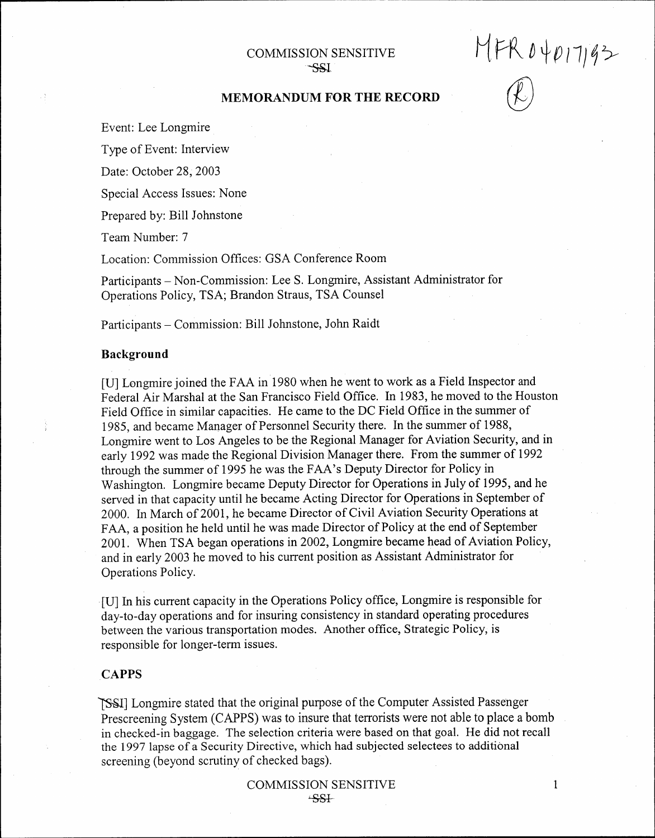# COMMISSION SENSITIVE -ssi

<sup>M</sup>H\ *Dip 11)q >*

 $(\ell)$ 

# MEMORANDUM FOR THE RECORD

Event: Lee Longmire

Type of Event: Interview

Date: October 28, 2003

Special Access Issues: None

Prepared by: Bill Johnstone

Team Number: 7

Location: Commission Offices: GSA Conference Room

Participants - Non-Commission: Lee S. Longmire, Assistant Administrator for Operations Policy, TSA; Brandon Straus, TSA Counsel

Participants - Commission: Bill Johnstone, John Raidt

#### **Background**

[U] Longmire joined the FAA in 1980 when he went to work as a Field Inspector and Federal Air Marshal at the San Francisco Field Office. In 1983, he moved to the Houston Field Office in similar capacities. He carne to the DC Field Office in the summer of 1985, and became Manager of Personnel Security there. In the summer of 1988, Longmire went to Los Angeles to be the Regional Manager for Aviation Security, and in early 1992 was made the Regional Division Manager there. From the summer of 1992 through the summer of 1995 he was the FAA's Deputy Director for Policy in Washington. Longmire became Deputy Director for Operations in July of 1995, and he served in that capacity until he became Acting Director for Operations in September of 2000. In March of2001, he became Director of Civil Aviation Security Operations at FAA, a position he held until he was made Director of Policy at the end of September 2001. When TSA began operations in 2002, Longmire became head of Aviation Policy, and in early 2003 he moved to his current position as Assistant Administrator for Operations Policy.

.[U] In his current capacity in the Operations Policy office, Longmire is responsible for day-to-day operations and for insuring consistency in standard operating procedures between the various transportation modes. Another office, Strategic Policy, is responsible for longer-term issues.

# **CAPPS**

~] Longmire stated that the original purpose of the Computer Assisted Passenger Prescreening System (CAPPS) was to insure that terrorists were not able to place a bomb in checked-in baggage. The selection criteria were based on that goal. He did not recall the 1997 lapse of a Security Directive, which had subjected selectees to additional screening (beyond scrutiny of checked bags).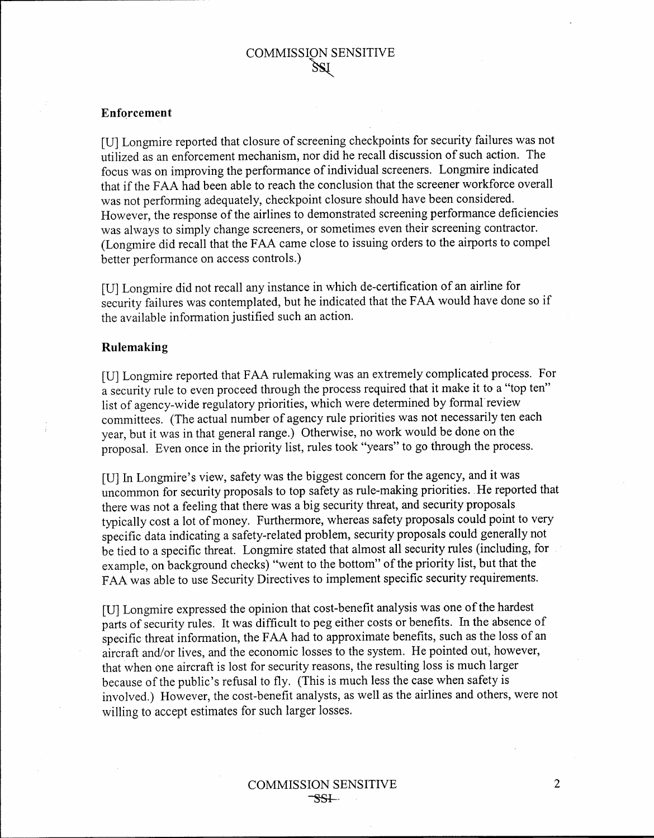# Enforcement

[U] Longmire reported that closure of screening checkpoints for security failures was not utilized as an enforcement mechanism, nor did he recall discussion of such action. The focus was on improving the performance of individual screeners. Longmire indicated that if the FAA had been able to reach the conclusion that the screener workforce overall was not performing adequately, checkpoint closure should have been considered. However, the response of the airlines to demonstrated screening performance deficiencies was always to simply change screeners, or sometimes even their screening contractor. (Longmire did recall that the FAA came close to issuing orders to the airports to compel better performance on access controls.)

[U] Longmire did not recall any instance in which de-certification of an airline for security failures was contemplated, but he indicated that the FAA would have done so if the available information justified such an action.

# **Rulemaking**

[U] Longmire reported that FAA rulemaking was an extremely complicated process. For a security rule to even proceed through the process required that it make it to a "top ten" list of agency-wide regulatory priorities, which were determined by formal review committees. (The actual number of agency rule priorities was not necessarily ten each year, but it was in that general range.) Otherwise, no work would be done on the proposal. Even once in the priority list, rules took "years" to go through the process.

[U] In Longmire's view, safety was the biggest concern for the agency, and it was uncommon for security proposals to top safety as rule-making priorities. He reported that there was not a feeling that there was a big security threat, and security proposals typically cost a lot of money. Furthermore, whereas safety proposals could point to very specific data indicating a safety-related problem, security proposals could generally not be tied to a specific threat. Longmire stated that almost all security rules (including, for example, on background checks) "went to the bottom" of the priority list, but that the FAA was able to use Security Directives to implement specific security requirements.

[U] Longmire expressed the opinion that cost-benefit analysis was one of the hardest parts of security rules. It was difficult to peg either costs or benefits. In the absence of specific threat information, the FAA had to approximate benefits, such as the loss of an aircraft and/or lives, and the economic losses to the system. He pointed out, however, that when one aircraft is lost for security reasons, the resulting loss is much larger because of the public's refusal to fly. (This is much less the case when safety is involved.) However, the cost-benefit analysts, as well as the airlines and others, were not willing to accept estimates for such larger losses.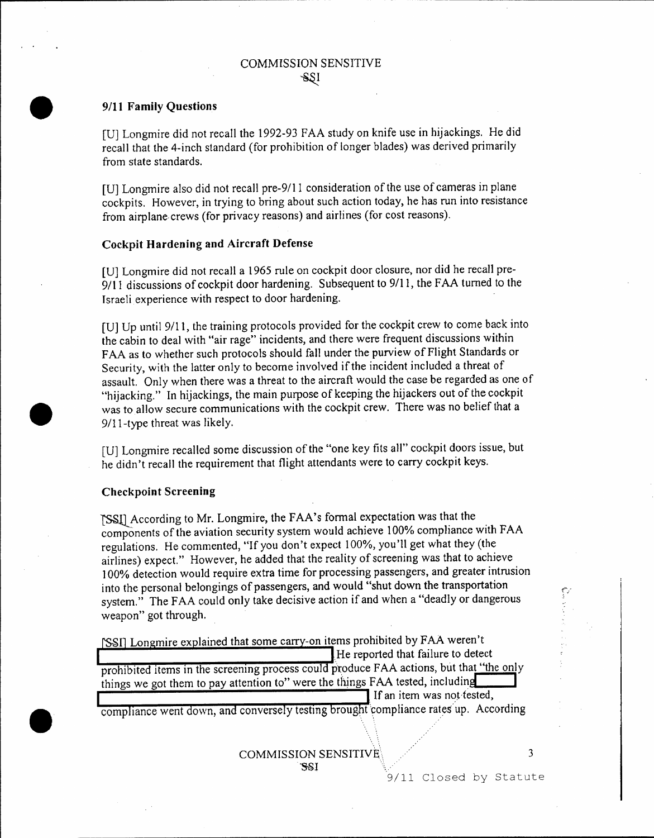### *• 9/11* Family Questions

[U] Longmire did not recall the 1992-93 FAA study on knife use in hijackings. He did recall that the 4-inch standard (for prohibition of longer blades) was derived primarily from state standards.

[U] Longmire also did not recall pre-9/11 consideration of the use of cameras in plane cockpits. However, in trying to bring about such action today, he has run into resistance from airplane crews (for privacy reasons) and airlines (for cost reasons).

#### Cockpit Hardening and Aircraft Defense

[U] Longmire did not recall a 1965 rule on cockpit door closure, nor did he recall pre-9/11 discussions of cockpit door hardening. Subsequent to 9/11, the FAA turned to the Israeli experience with respect to door hardening.

[U] Up until 9/11, the training protocols provided for the cockpit crew to come back into. the cabin to deal with "air rage" incidents, and there were frequent discussions within FAA as to whether such protocols should fall under the purview of Flight Standards or Security, with the latter only to become involved if the incident included a threat of assault. Only when there was a threat to the aircraft would the case be regarded as one of "hijacking." In hijackings, the main purpose of keeping the hijackers out of the cockpit was to allow secure communications with the cockpit crew. There was no belief that a 9111-type threat was likely.

[U] Longmire recalled some discussion of the "one key fits all" cockpit doors issue, but he didn't recall the requirement that flight attendants were to carry cockpit keys.

#### Checkpoint Screening

**•** 

TSSU According to.Mr. Longmire, the FAA's formal expectation was that the components of the aviation security system would achieve 100% compliance with FAA regulations. He commented, "If you don't expect 100%, you'll get what they (the airlines) expect." However, he added that the reality of screening was that to achieve 100% detection would require extra time for processing passengers, and greater intrusion into the personal belongings of passengers, and would "shut down the transportation system." The FAA could only take decisive action if and when a "deadly or dangerous weapon" got through.

[SSI] Longmire explained that some carry-on items prohibited by FAA weren't He reported that failure to detect prohibited items in the screening process could produce FAA actions, but that "the only things we got them to pay attention to" were the things FAA tested, including If an item was not-tested,

compliance went down, and conversely testing brought compliance rates up. According

# COMMISSION SENSITIVE\·. '\$.1 .,

9/11 Closed by Statute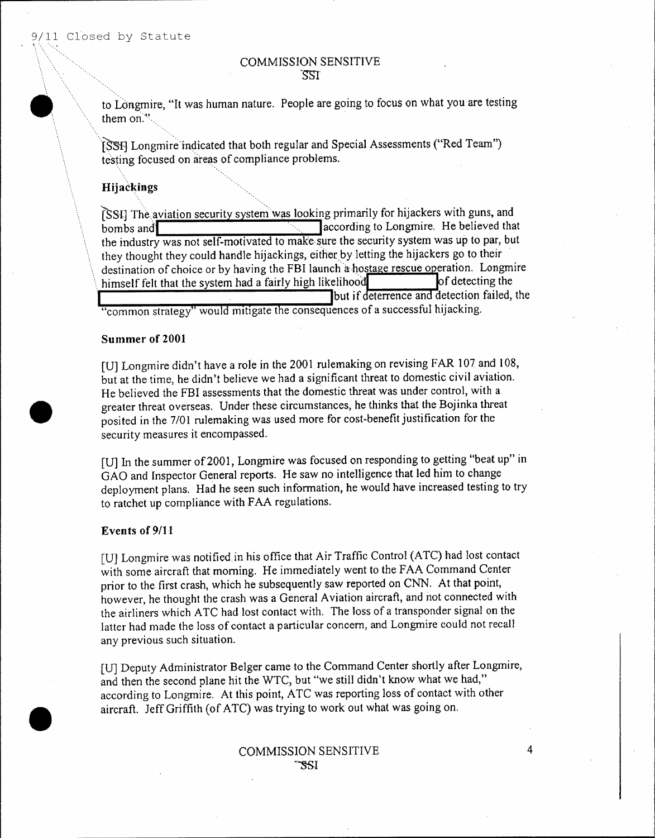*t" '-'., ~"':*

**•** 

•

### , , COMMISSION SENSITIVE 'SSI'

to Longmire, "It was human nature. People are going to focus on what you are testing them on.";

\['SsiJ Longmir'e'in~icated that both regular and Special Assessments ("Red Team") testing focused on areas of compliance problems.

# Hijackings

(SSI) The aviation security system was looking primarily for hijackers with guns, and bombs and **interest in the late of the set of the set of the set of the set of the set of the set of the set of the set of the set of the set of the set of the set of the set of the set of the set of the set of the set of** the industry was not self-motivated to make-sure the security system was up to par, but they thought they could handle hijackings, either by letting the hijackers go to their destination of choice or by having the FBI launch a hostage rescue operation. Longmire himself felt that the system had a fairly high likelihood **of detecting the** lot detection failed, the "common strategy" would mitigate the consequences of a successful hijacking.

# Summer of 2001

[U] Longmire didn't have a role in the 2001 rulemaking on revising FAR 107 and 108, but at the time, he didn't believe we had a significant threat to domestic civil aviation. He believed the FBI assessments that the domestic threat was under control, with a greater threat overseas. Under these circumstances, he thinks that the Bojinka threat posited in the 7/01 rulemaking was used more for cost-benefit justification for the security measures it encompassed.

[U] In the summer of 2001, Longmire was focused on responding to getting "beat up" in GAO and Inspector General reports. He saw no intelligence that led him to change deployment plans. Had he seen such information, he would have increased testing to try to ratchet up compliance with FAA regulations.

#### Events of *9/11*

[U] Longmire was notified.in his office that Air Traffic Control (ATC) had lost contact with some aircraft that morning. He immediately went to the FAA Command Center prior to the first crash, which he subsequently saw reported on CNN. At that point, however, he thought the crash was a General Aviation aircraft, and not connected with the airliners which ATC had lost contact with. The loss of a transponder signal on the latter had made the loss of contact a particular concern, and Longmire could not recall any previous such situation.

[U] Deputy Administrator Belger came to the Command Center shortly after Longmire, and then the second plane hit the WTC, but "we still didn't know what we had," according to Longmire. At this point, ATC was reporting loss of contact with other aircraft. leffGriffith (of ATC) was trying to work out what was going on .

#### COMMISSION SENSITIVE ~"'SSI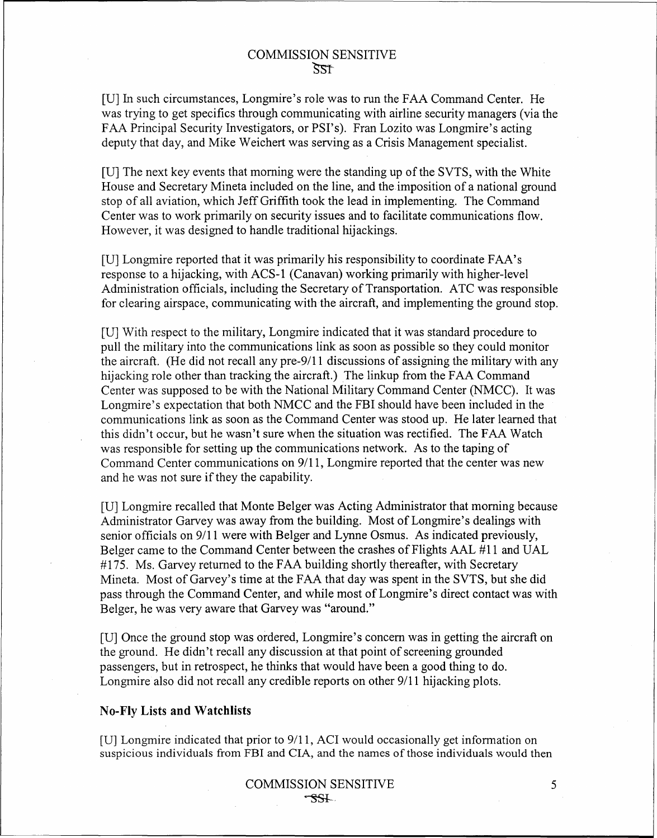[U] In such circumstances, Longmire's role was to run the FAA Command Center. He was trying to get specifics through communicating with airline security managers (via the FAA Principal Security Investigators, or PSI's). Fran Lozito was Longmire's acting deputy that day, and Mike Weichert was serving as a Crisis Management specialist.

[U] The next key events that morning were the standing up of the SVTS, with the White House and Secretary Mineta included on the line, and the imposition of a national ground stop of all aviation, which Jeff Griffith took the lead in implementing. The Command Center was to work primarily on security issues and to facilitate communications flow. However, it was designed to handle traditional hijackings.

[U] Longmire reported that it was primarily his responsibility to coordinate FAA's response to a hijacking, with ACS-1 (Canavan) working primarily with higher-level Administration officials, including the Secretary of Transportation. ATC was responsible for clearing airspace, communicating with the aircraft, and implementing the ground stop.

[U] With respect to the military, Longmire indicated that it was standard procedure to pull the military into the communications link as soon as possible so they could monitor the aircraft. (He did not recall any pre-9/11 discussions of assigning the military with any hijacking role other than tracking the aircraft.) The linkup from the FAA Command Center was supposed to be with the National Military Command Center (NMCC). It was Longmire's expectation that both NMCC and the FBI should have been included in the communications link as soon as the Command Center was stood up. He later learned that this didn't occur, but he wasn't sure when the situation was rectified. The FAA Watch was responsible for setting up the communications network. As to the taping of Command Center communications on 9/11, Longmire reported that the center was new and he was not sure if they the capability.

[U] Longmire recalled that Monte Belger was Acting Administrator that morning because Administrator Garvey was away from the building. Most of Longmire's dealings with senior officials on 9/11 were with Belger and Lynne Osmus. As indicated previously, Belger came to the Command Center between the crashes of Flights AAL #11 and VAL #175. Ms. Garvey returned to the FAA building shortly thereafter, with Secretary Mineta. Most of Garvey's time at the FAA that day was spent in the SVTS, but she did pass through the Command Center, and while most of Longmire's direct contact was with Belger, he was very aware that Garvey was "around."

[U] Once the ground stop was ordered, Longmire's concern was in getting the aircraft on the ground. He didn't recall any discussion at that point of screening grounded passengers, but in retrospect, he thinks that would have been a good thing to do. Longmire also did not recall any credible reports on other 9/11 hijacking plots.

# **No-Fly Lists and Watchlists**

[U] Longmire indicated that prior to 9111, ACI would occasionally get information on suspicious individuals from FBI and CIA, and the names of those individuals would then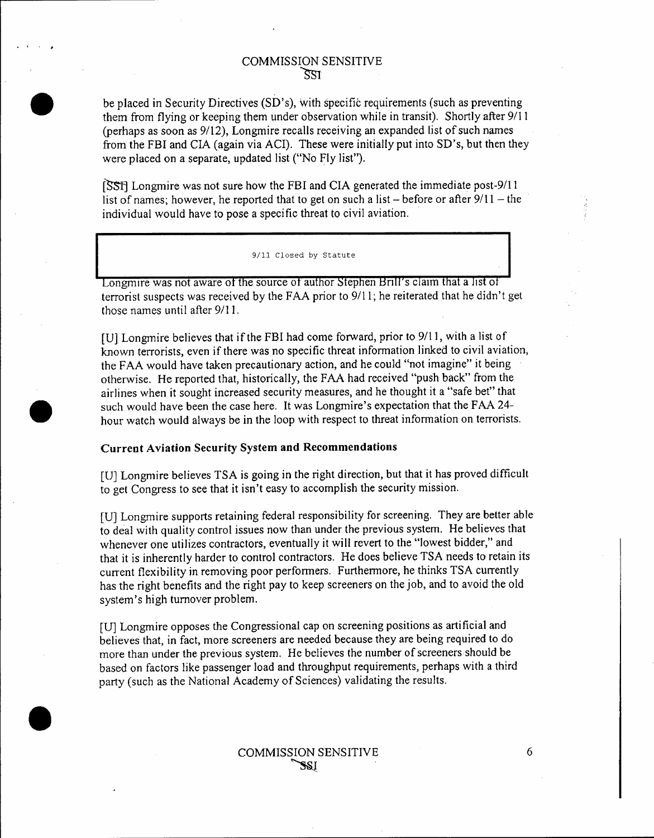. . .

•<br>●

•<br>●

**•** 

be placed in Security Directives (SD's), with specific requirements (such as preventing them from flying or keeping them under observation while in transit). Shortly after *9/11* (perhaps as soon as *9/12),* Longmire recalls receiving an expanded list of such names from the FBI and CIA (again via ACI). These were initially put into SD's, but then they were placed on a separate, updated list ("No Fly list").

[SSt] Longmire was not sure how the FBI and CIA generated the immediate post-9/ll list of names; however, he reported that to get on such a list  $-$  before or after  $9/11 -$  the individual would have to pose a specific threat to civil aviation. .

9/11 Closed by Statute

Longmire was not aware of the source of author Stephen Brill's claim that a list of terrorist suspects was received by the FAA prior to *9111;* he reiterated that he didn't get those names until after *9111.*

[U] Longmire believes that if the FBI had come forward, prior to 9/11, with a list of known terrorists, even if there was no specific threat information linked to civil aviation, the FAA would have taken precautionary action, and he could "not imagine" it being otherwise. He reported that, historically, the FAA had received "push back" from the airlines when it sought increased security measures, and he thought it a "safe bet" that such would have been the case here. It was Longmire's expectation that the FAA 24 hour watch would always be in the loop with respect to threat information on terrorists.

#### Current Aviation Security System and Recommendations

[U] Longmire believes TSA is going in the right direction, but that it has proved difficult to get Congress to see that it isn't easy to accomplish the security mission.

[U] Longmire supports retaining federal responsibility for screening. They are better able to deal with quality control issues now than under the previous system. He believes that whenever one utilizes contractors, eventually it will revert to the "lowest bidder," and that it is inherently harder to control contractors. He does believe TSA needs to retain its current flexibility in removing poor performers, Furthermore, he thinks TSA currently has the right benefits and the right pay to keep screeners on the job, and to avoid the old system's high turnover problem.

[U] Longmire opposes the Congressional cap on screening positions as artificial and believes that, in fact, more screeners are needed because they are being required to do more than under the previous system. He believes the number of screeners should be based on factors like passenger load and throughput requirements, perhaps with a third party (such as the National Academy of Sciences) validating the results.

#### COMMISSION SENSITIVE ~J.